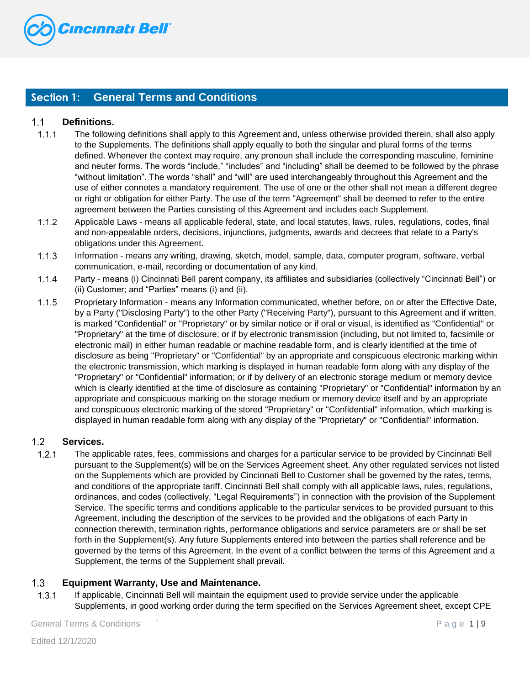

# **Section 1: General Terms and Conditions**

## $1.1$ **Definitions.**

- $1.1.1$ The following definitions shall apply to this Agreement and, unless otherwise provided therein, shall also apply to the Supplements. The definitions shall apply equally to both the singular and plural forms of the terms defined. Whenever the context may require, any pronoun shall include the corresponding masculine, feminine and neuter forms. The words "include," "includes" and "including" shall be deemed to be followed by the phrase "without limitation". The words "shall" and "will" are used interchangeably throughout this Agreement and the use of either connotes a mandatory requirement. The use of one or the other shall not mean a different degree or right or obligation for either Party. The use of the term "Agreement" shall be deemed to refer to the entire agreement between the Parties consisting of this Agreement and includes each Supplement.
- $1.1.2$ Applicable Laws - means all applicable federal, state, and local statutes, laws, rules, regulations, codes, final and non-appealable orders, decisions, injunctions, judgments, awards and decrees that relate to a Party's obligations under this Agreement.
- $1.1.3$ Information - means any writing, drawing, sketch, model, sample, data, computer program, software, verbal communication, e-mail, recording or documentation of any kind.
- $1.1.4$ Party - means (i) Cincinnati Bell parent company, its affiliates and subsidiaries (collectively "Cincinnati Bell") or (ii) Customer; and "Parties" means (i) and (ii).
- $1.1.5$ Proprietary Information - means any Information communicated, whether before, on or after the Effective Date, by a Party ("Disclosing Party") to the other Party ("Receiving Party"), pursuant to this Agreement and if written, is marked "Confidential" or "Proprietary" or by similar notice or if oral or visual, is identified as "Confidential" or "Proprietary" at the time of disclosure; or if by electronic transmission (including, but not limited to, facsimile or electronic mail) in either human readable or machine readable form, and is clearly identified at the time of disclosure as being "Proprietary" or "Confidential" by an appropriate and conspicuous electronic marking within the electronic transmission, which marking is displayed in human readable form along with any display of the "Proprietary" or "Confidential" information; or if by delivery of an electronic storage medium or memory device which is clearly identified at the time of disclosure as containing "Proprietary" or "Confidential" information by an appropriate and conspicuous marking on the storage medium or memory device itself and by an appropriate and conspicuous electronic marking of the stored "Proprietary" or "Confidential" information, which marking is displayed in human readable form along with any display of the "Proprietary" or "Confidential" information.

## $1.2<sub>2</sub>$ **Services.**

 $1.2.1$ The applicable rates, fees, commissions and charges for a particular service to be provided by Cincinnati Bell pursuant to the Supplement(s) will be on the Services Agreement sheet. Any other regulated services not listed on the Supplements which are provided by Cincinnati Bell to Customer shall be governed by the rates, terms, and conditions of the appropriate tariff. Cincinnati Bell shall comply with all applicable laws, rules, regulations, ordinances, and codes (collectively, "Legal Requirements") in connection with the provision of the Supplement Service. The specific terms and conditions applicable to the particular services to be provided pursuant to this Agreement, including the description of the services to be provided and the obligations of each Party in connection therewith, termination rights, performance obligations and service parameters are or shall be set forth in the Supplement(s). Any future Supplements entered into between the parties shall reference and be governed by the terms of this Agreement. In the event of a conflict between the terms of this Agreement and a Supplement, the terms of the Supplement shall prevail.

## $1.3<sub>1</sub>$ **Equipment Warranty, Use and Maintenance.**

 $1.3.1$ If applicable, Cincinnati Bell will maintain the equipment used to provide service under the applicable Supplements, in good working order during the term specified on the Services Agreement sheet, except CPE

General Terms & Conditions ` P a g e 1 | 9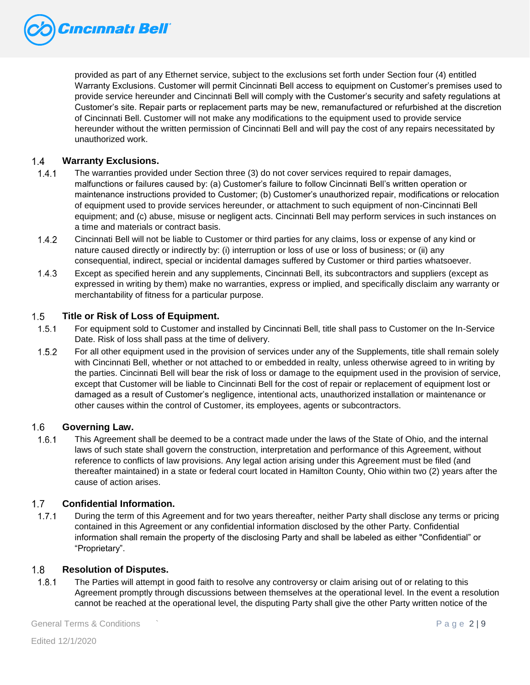

provided as part of any Ethernet service, subject to the exclusions set forth under Section four (4) entitled Warranty Exclusions. Customer will permit Cincinnati Bell access to equipment on Customer's premises used to provide service hereunder and Cincinnati Bell will comply with the Customer's security and safety regulations at Customer's site. Repair parts or replacement parts may be new, remanufactured or refurbished at the discretion of Cincinnati Bell. Customer will not make any modifications to the equipment used to provide service hereunder without the written permission of Cincinnati Bell and will pay the cost of any repairs necessitated by unauthorized work.

## $1.4$ **Warranty Exclusions.**

- $1.4.1$ The warranties provided under Section three (3) do not cover services required to repair damages, malfunctions or failures caused by: (a) Customer's failure to follow Cincinnati Bell's written operation or maintenance instructions provided to Customer; (b) Customer's unauthorized repair, modifications or relocation of equipment used to provide services hereunder, or attachment to such equipment of non-Cincinnati Bell equipment; and (c) abuse, misuse or negligent acts. Cincinnati Bell may perform services in such instances on a time and materials or contract basis.
- $1.4.2$ Cincinnati Bell will not be liable to Customer or third parties for any claims, loss or expense of any kind or nature caused directly or indirectly by: (i) interruption or loss of use or loss of business; or (ii) any consequential, indirect, special or incidental damages suffered by Customer or third parties whatsoever.
- $1.4.3$ Except as specified herein and any supplements, Cincinnati Bell, its subcontractors and suppliers (except as expressed in writing by them) make no warranties, express or implied, and specifically disclaim any warranty or merchantability of fitness for a particular purpose.

#### $1.5$ **Title or Risk of Loss of Equipment.**

- $1.5.1$ For equipment sold to Customer and installed by Cincinnati Bell, title shall pass to Customer on the In-Service Date. Risk of loss shall pass at the time of delivery.
- $1.5.2$ For all other equipment used in the provision of services under any of the Supplements, title shall remain solely with Cincinnati Bell, whether or not attached to or embedded in realty, unless otherwise agreed to in writing by the parties. Cincinnati Bell will bear the risk of loss or damage to the equipment used in the provision of service, except that Customer will be liable to Cincinnati Bell for the cost of repair or replacement of equipment lost or damaged as a result of Customer's negligence, intentional acts, unauthorized installation or maintenance or other causes within the control of Customer, its employees, agents or subcontractors.

#### $1.6<sup>1</sup>$ **Governing Law.**

 $1.6.1$ This Agreement shall be deemed to be a contract made under the laws of the State of Ohio, and the internal laws of such state shall govern the construction, interpretation and performance of this Agreement, without reference to conflicts of law provisions. Any legal action arising under this Agreement must be filed (and thereafter maintained) in a state or federal court located in Hamilton County, Ohio within two (2) years after the cause of action arises.

## $1.7$ **Confidential Information.**

 $1.7.1$ During the term of this Agreement and for two years thereafter, neither Party shall disclose any terms or pricing contained in this Agreement or any confidential information disclosed by the other Party. Confidential information shall remain the property of the disclosing Party and shall be labeled as either "Confidential" or "Proprietary".

#### $1.8$ **Resolution of Disputes.**

 $1.8.1$ The Parties will attempt in good faith to resolve any controversy or claim arising out of or relating to this Agreement promptly through discussions between themselves at the operational level. In the event a resolution cannot be reached at the operational level, the disputing Party shall give the other Party written notice of the

General Terms & Conditions ` P a g e 2 | 9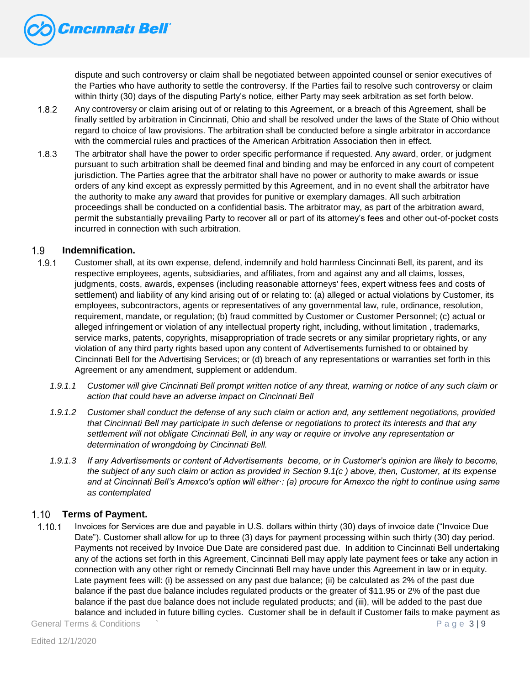

dispute and such controversy or claim shall be negotiated between appointed counsel or senior executives of the Parties who have authority to settle the controversy. If the Parties fail to resolve such controversy or claim within thirty (30) days of the disputing Party's notice, either Party may seek arbitration as set forth below.

- $1.8.2$ Any controversy or claim arising out of or relating to this Agreement, or a breach of this Agreement, shall be finally settled by arbitration in Cincinnati, Ohio and shall be resolved under the laws of the State of Ohio without regard to choice of law provisions. The arbitration shall be conducted before a single arbitrator in accordance with the commercial rules and practices of the American Arbitration Association then in effect.
- $1.8.3$ The arbitrator shall have the power to order specific performance if requested. Any award, order, or judgment pursuant to such arbitration shall be deemed final and binding and may be enforced in any court of competent jurisdiction. The Parties agree that the arbitrator shall have no power or authority to make awards or issue orders of any kind except as expressly permitted by this Agreement, and in no event shall the arbitrator have the authority to make any award that provides for punitive or exemplary damages. All such arbitration proceedings shall be conducted on a confidential basis. The arbitrator may, as part of the arbitration award, permit the substantially prevailing Party to recover all or part of its attorney's fees and other out-of-pocket costs incurred in connection with such arbitration.

## $1.9<sup>°</sup>$ **Indemnification.**

- $1.9.1$ Customer shall, at its own expense, defend, indemnify and hold harmless Cincinnati Bell, its parent, and its respective employees, agents, subsidiaries, and affiliates, from and against any and all claims, losses, judgments, costs, awards, expenses (including reasonable attorneys' fees, expert witness fees and costs of settlement) and liability of any kind arising out of or relating to: (a) alleged or actual violations by Customer, its employees, subcontractors, agents or representatives of any governmental law, rule, ordinance, resolution, requirement, mandate, or regulation; (b) fraud committed by Customer or Customer Personnel; (c) actual or alleged infringement or violation of any intellectual property right, including, without limitation , trademarks, service marks, patents, copyrights, misappropriation of trade secrets or any similar proprietary rights, or any violation of any third party rights based upon any content of Advertisements furnished to or obtained by Cincinnati Bell for the Advertising Services; or (d) breach of any representations or warranties set forth in this Agreement or any amendment, supplement or addendum.
	- *1.9.1.1 Customer will give Cincinnati Bell prompt written notice of any threat, warning or notice of any such claim or action that could have an adverse impact on Cincinnati Bell*
	- *1.9.1.2 Customer shall conduct the defense of any such claim or action and, any settlement negotiations, provided that Cincinnati Bell may participate in such defense or negotiations to protect its interests and that any settlement will not obligate Cincinnati Bell, in any way or require or involve any representation or determination of wrongdoing by Cincinnati Bell.*
	- *1.9.1.3 If any Advertisements or content of Advertisements become, or in Customer's opinion are likely to become, the subject of any such claim or action as provided in Section 9.1(c ) above, then, Customer, at its expense and at Cincinnati Bell's Amexco's option will either·: (a) procure for Amexco the right to continue using same as contemplated*

## $1.10$ **Terms of Payment.**

 $1.10.1$ Invoices for Services are due and payable in U.S. dollars within thirty (30) days of invoice date ("Invoice Due Date"). Customer shall allow for up to three (3) days for payment processing within such thirty (30) day period. Payments not received by Invoice Due Date are considered past due. In addition to Cincinnati Bell undertaking any of the actions set forth in this Agreement, Cincinnati Bell may apply late payment fees or take any action in connection with any other right or remedy Cincinnati Bell may have under this Agreement in law or in equity. Late payment fees will: (i) be assessed on any past due balance; (ii) be calculated as 2% of the past due balance if the past due balance includes regulated products or the greater of \$11.95 or 2% of the past due balance if the past due balance does not include regulated products; and (iii), will be added to the past due balance and included in future billing cycles. Customer shall be in default if Customer fails to make payment as

General Terms & Conditions  $\sim$  P a g e  $\sim$  P and e  $\sim$  P and e  $\sim$  P and e  $\sim$  P and e  $\sim$  P and e  $\sim$  P and e  $\sim$  P and e  $\sim$  P and e  $\sim$  P and e  $\sim$  P and e  $\sim$  P and e  $\sim$  P and e  $\sim$  P and e  $\sim$  P and e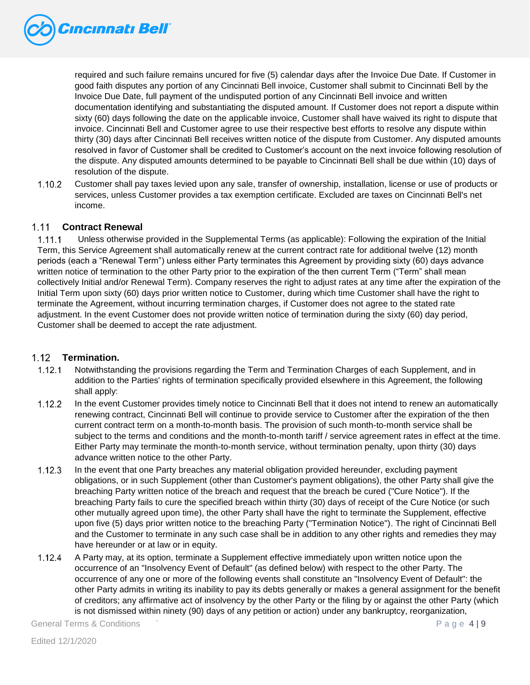

required and such failure remains uncured for five (5) calendar days after the Invoice Due Date. If Customer in good faith disputes any portion of any Cincinnati Bell invoice, Customer shall submit to Cincinnati Bell by the Invoice Due Date, full payment of the undisputed portion of any Cincinnati Bell invoice and written documentation identifying and substantiating the disputed amount. If Customer does not report a dispute within sixty (60) days following the date on the applicable invoice, Customer shall have waived its right to dispute that invoice. Cincinnati Bell and Customer agree to use their respective best efforts to resolve any dispute within thirty (30) days after Cincinnati Bell receives written notice of the dispute from Customer. Any disputed amounts resolved in favor of Customer shall be credited to Customer's account on the next invoice following resolution of the dispute. Any disputed amounts determined to be payable to Cincinnati Bell shall be due within (10) days of resolution of the dispute.

 $1.10.2$ Customer shall pay taxes levied upon any sale, transfer of ownership, installation, license or use of products or services, unless Customer provides a tax exemption certificate. Excluded are taxes on Cincinnati Bell's net income.

#### $1.11 -$ **Contract Renewal**

 $1.11.1$ Unless otherwise provided in the Supplemental Terms (as applicable): Following the expiration of the Initial Term, this Service Agreement shall automatically renew at the current contract rate for additional twelve (12) month periods (each a "Renewal Term") unless either Party terminates this Agreement by providing sixty (60) days advance written notice of termination to the other Party prior to the expiration of the then current Term ("Term" shall mean collectively Initial and/or Renewal Term). Company reserves the right to adjust rates at any time after the expiration of the Initial Term upon sixty (60) days prior written notice to Customer, during which time Customer shall have the right to terminate the Agreement, without incurring termination charges, if Customer does not agree to the stated rate adjustment. In the event Customer does not provide written notice of termination during the sixty (60) day period, Customer shall be deemed to accept the rate adjustment.

## $1.12$ **Termination.**

- $1.12.1$ Notwithstanding the provisions regarding the Term and Termination Charges of each Supplement, and in addition to the Parties' rights of termination specifically provided elsewhere in this Agreement, the following shall apply:
- $1.12.2$ In the event Customer provides timely notice to Cincinnati Bell that it does not intend to renew an automatically renewing contract, Cincinnati Bell will continue to provide service to Customer after the expiration of the then current contract term on a month-to-month basis. The provision of such month-to-month service shall be subject to the terms and conditions and the month-to-month tariff / service agreement rates in effect at the time. Either Party may terminate the month-to-month service, without termination penalty, upon thirty (30) days advance written notice to the other Party.
- $1.12.3$ In the event that one Party breaches any material obligation provided hereunder, excluding payment obligations, or in such Supplement (other than Customer's payment obligations), the other Party shall give the breaching Party written notice of the breach and request that the breach be cured ("Cure Notice"). If the breaching Party fails to cure the specified breach within thirty (30) days of receipt of the Cure Notice (or such other mutually agreed upon time), the other Party shall have the right to terminate the Supplement, effective upon five (5) days prior written notice to the breaching Party ("Termination Notice"). The right of Cincinnati Bell and the Customer to terminate in any such case shall be in addition to any other rights and remedies they may have hereunder or at law or in equity.
- A Party may, at its option, terminate a Supplement effective immediately upon written notice upon the  $1.12.4$ occurrence of an "Insolvency Event of Default" (as defined below) with respect to the other Party. The occurrence of any one or more of the following events shall constitute an "Insolvency Event of Default": the other Party admits in writing its inability to pay its debts generally or makes a general assignment for the benefit of creditors; any affirmative act of insolvency by the other Party or the filing by or against the other Party (which is not dismissed within ninety (90) days of any petition or action) under any bankruptcy, reorganization,

General Terms & Conditions  $\sim$  P a g e 4 | 9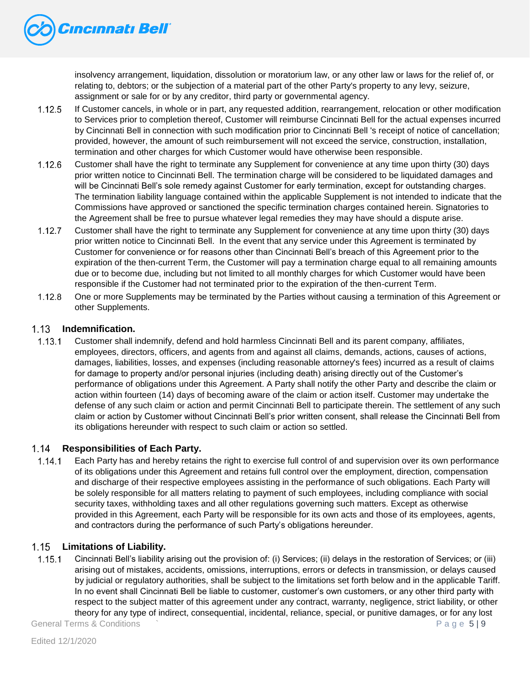

insolvency arrangement, liquidation, dissolution or moratorium law, or any other law or laws for the relief of, or relating to, debtors; or the subjection of a material part of the other Party's property to any levy, seizure, assignment or sale for or by any creditor, third party or governmental agency.

- 1.12.5 If Customer cancels, in whole or in part, any requested addition, rearrangement, relocation or other modification to Services prior to completion thereof, Customer will reimburse Cincinnati Bell for the actual expenses incurred by Cincinnati Bell in connection with such modification prior to Cincinnati Bell 's receipt of notice of cancellation; provided, however, the amount of such reimbursement will not exceed the service, construction, installation, termination and other charges for which Customer would have otherwise been responsible.
- $1.12.6$ Customer shall have the right to terminate any Supplement for convenience at any time upon thirty (30) days prior written notice to Cincinnati Bell. The termination charge will be considered to be liquidated damages and will be Cincinnati Bell's sole remedy against Customer for early termination, except for outstanding charges. The termination liability language contained within the applicable Supplement is not intended to indicate that the Commissions have approved or sanctioned the specific termination charges contained herein. Signatories to the Agreement shall be free to pursue whatever legal remedies they may have should a dispute arise.
- $1.12.7$ Customer shall have the right to terminate any Supplement for convenience at any time upon thirty (30) days prior written notice to Cincinnati Bell. In the event that any service under this Agreement is terminated by Customer for convenience or for reasons other than Cincinnati Bell's breach of this Agreement prior to the expiration of the then-current Term, the Customer will pay a termination charge equal to all remaining amounts due or to become due, including but not limited to all monthly charges for which Customer would have been responsible if the Customer had not terminated prior to the expiration of the then-current Term.
- $1.12.8$ One or more Supplements may be terminated by the Parties without causing a termination of this Agreement or other Supplements.

## **Indemnification.**   $1.13 -$

 $1.13.1$ Customer shall indemnify, defend and hold harmless Cincinnati Bell and its parent company, affiliates, employees, directors, officers, and agents from and against all claims, demands, actions, causes of actions, damages, liabilities, losses, and expenses (including reasonable attorney's fees) incurred as a result of claims for damage to property and/or personal injuries (including death) arising directly out of the Customer's performance of obligations under this Agreement. A Party shall notify the other Party and describe the claim or action within fourteen (14) days of becoming aware of the claim or action itself. Customer may undertake the defense of any such claim or action and permit Cincinnati Bell to participate therein. The settlement of any such claim or action by Customer without Cincinnati Bell's prior written consent, shall release the Cincinnati Bell from its obligations hereunder with respect to such claim or action so settled.

## $1.14 -$ **Responsibilities of Each Party.**

Each Party has and hereby retains the right to exercise full control of and supervision over its own performance  $1.14.1$ of its obligations under this Agreement and retains full control over the employment, direction, compensation and discharge of their respective employees assisting in the performance of such obligations. Each Party will be solely responsible for all matters relating to payment of such employees, including compliance with social security taxes, withholding taxes and all other regulations governing such matters. Except as otherwise provided in this Agreement, each Party will be responsible for its own acts and those of its employees, agents, and contractors during the performance of such Party's obligations hereunder.

## $1.15$ **Limitations of Liability.**

 $1.15.1$ Cincinnati Bell's liability arising out the provision of: (i) Services; (ii) delays in the restoration of Services; or (iii) arising out of mistakes, accidents, omissions, interruptions, errors or defects in transmission, or delays caused by judicial or regulatory authorities, shall be subject to the limitations set forth below and in the applicable Tariff. In no event shall Cincinnati Bell be liable to customer, customer's own customers, or any other third party with respect to the subject matter of this agreement under any contract, warranty, negligence, strict liability, or other theory for any type of indirect, consequential, incidental, reliance, special, or punitive damages, or for any lost

General Terms & Conditions ` P a g e 5 | 9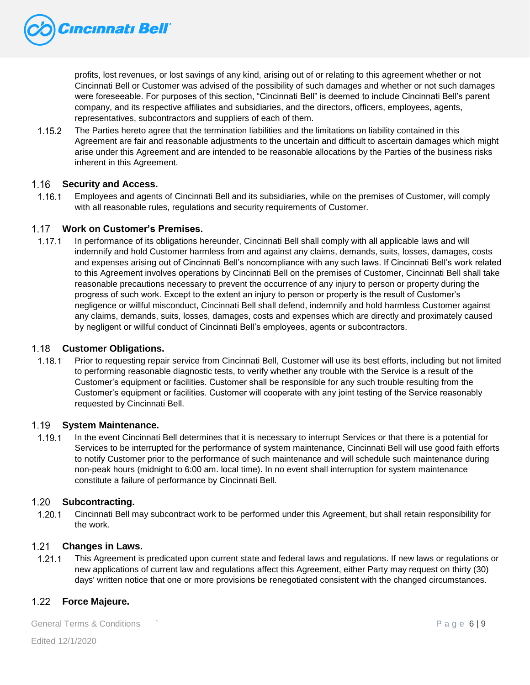

profits, lost revenues, or lost savings of any kind, arising out of or relating to this agreement whether or not Cincinnati Bell or Customer was advised of the possibility of such damages and whether or not such damages were foreseeable. For purposes of this section, "Cincinnati Bell" is deemed to include Cincinnati Bell's parent company, and its respective affiliates and subsidiaries, and the directors, officers, employees, agents, representatives, subcontractors and suppliers of each of them.

 $1.15.2$ The Parties hereto agree that the termination liabilities and the limitations on liability contained in this Agreement are fair and reasonable adjustments to the uncertain and difficult to ascertain damages which might arise under this Agreement and are intended to be reasonable allocations by the Parties of the business risks inherent in this Agreement.

## $1.16$ **Security and Access.**

 $1.16.1$ Employees and agents of Cincinnati Bell and its subsidiaries, while on the premises of Customer, will comply with all reasonable rules, regulations and security requirements of Customer.

## **Work on Customer's Premises.**

 $1.17.1$ In performance of its obligations hereunder, Cincinnati Bell shall comply with all applicable laws and will indemnify and hold Customer harmless from and against any claims, demands, suits, losses, damages, costs and expenses arising out of Cincinnati Bell's noncompliance with any such laws. If Cincinnati Bell's work related to this Agreement involves operations by Cincinnati Bell on the premises of Customer, Cincinnati Bell shall take reasonable precautions necessary to prevent the occurrence of any injury to person or property during the progress of such work. Except to the extent an injury to person or property is the result of Customer's negligence or willful misconduct, Cincinnati Bell shall defend, indemnify and hold harmless Customer against any claims, demands, suits, losses, damages, costs and expenses which are directly and proximately caused by negligent or willful conduct of Cincinnati Bell's employees, agents or subcontractors.

#### $1.18$ **Customer Obligations.**

 $1.18.1$ Prior to requesting repair service from Cincinnati Bell, Customer will use its best efforts, including but not limited to performing reasonable diagnostic tests, to verify whether any trouble with the Service is a result of the Customer's equipment or facilities. Customer shall be responsible for any such trouble resulting from the Customer's equipment or facilities. Customer will cooperate with any joint testing of the Service reasonably requested by Cincinnati Bell.

#### $1.19 -$ **System Maintenance.**

 $1.19.1$ In the event Cincinnati Bell determines that it is necessary to interrupt Services or that there is a potential for Services to be interrupted for the performance of system maintenance, Cincinnati Bell will use good faith efforts to notify Customer prior to the performance of such maintenance and will schedule such maintenance during non-peak hours (midnight to 6:00 am. local time). In no event shall interruption for system maintenance constitute a failure of performance by Cincinnati Bell.

## 1.20 **Subcontracting.**

 $1.20.1$ Cincinnati Bell may subcontract work to be performed under this Agreement, but shall retain responsibility for the work.

## **Changes in Laws.**

 $1.21.1$ This Agreement is predicated upon current state and federal laws and regulations. If new laws or regulations or new applications of current law and regulations affect this Agreement, either Party may request on thirty (30) days' written notice that one or more provisions be renegotiated consistent with the changed circumstances.

## $1.22$ **Force Majeure.**

General Terms & Conditions ` P a g e 6 | 9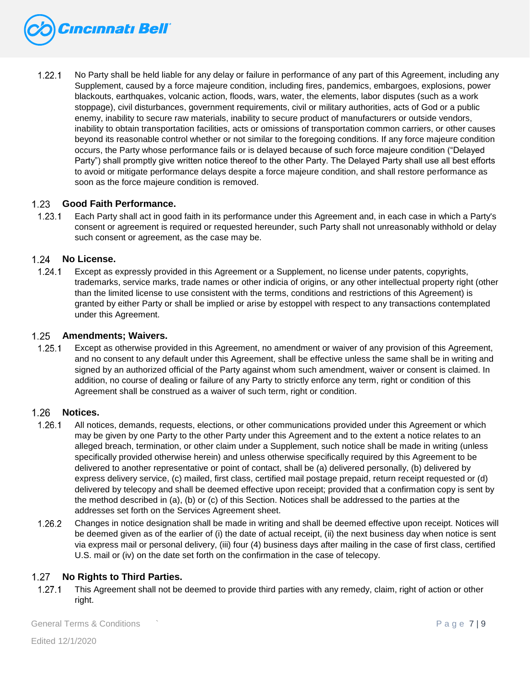

 $1.22.1$ No Party shall be held liable for any delay or failure in performance of any part of this Agreement, including any Supplement, caused by a force majeure condition, including fires, pandemics, embargoes, explosions, power blackouts, earthquakes, volcanic action, floods, wars, water, the elements, labor disputes (such as a work stoppage), civil disturbances, government requirements, civil or military authorities, acts of God or a public enemy, inability to secure raw materials, inability to secure product of manufacturers or outside vendors, inability to obtain transportation facilities, acts or omissions of transportation common carriers, or other causes beyond its reasonable control whether or not similar to the foregoing conditions. If any force majeure condition occurs, the Party whose performance fails or is delayed because of such force majeure condition ("Delayed Party") shall promptly give written notice thereof to the other Party. The Delayed Party shall use all best efforts to avoid or mitigate performance delays despite a force majeure condition, and shall restore performance as soon as the force majeure condition is removed.

#### $1.23$ **Good Faith Performance.**

 $1.23.1$ Each Party shall act in good faith in its performance under this Agreement and, in each case in which a Party's consent or agreement is required or requested hereunder, such Party shall not unreasonably withhold or delay such consent or agreement, as the case may be.

#### $1.24$ **No License.**

 $1.24.1$ Except as expressly provided in this Agreement or a Supplement, no license under patents, copyrights, trademarks, service marks, trade names or other indicia of origins, or any other intellectual property right (other than the limited license to use consistent with the terms, conditions and restrictions of this Agreement) is granted by either Party or shall be implied or arise by estoppel with respect to any transactions contemplated under this Agreement.

#### $1.25$ **Amendments; Waivers.**

 $1.25.1$ Except as otherwise provided in this Agreement, no amendment or waiver of any provision of this Agreement, and no consent to any default under this Agreement, shall be effective unless the same shall be in writing and signed by an authorized official of the Party against whom such amendment, waiver or consent is claimed. In addition, no course of dealing or failure of any Party to strictly enforce any term, right or condition of this Agreement shall be construed as a waiver of such term, right or condition.

#### $1.26$ **Notices.**

- 1.26.1 All notices, demands, requests, elections, or other communications provided under this Agreement or which may be given by one Party to the other Party under this Agreement and to the extent a notice relates to an alleged breach, termination, or other claim under a Supplement, such notice shall be made in writing (unless specifically provided otherwise herein) and unless otherwise specifically required by this Agreement to be delivered to another representative or point of contact, shall be (a) delivered personally, (b) delivered by express delivery service, (c) mailed, first class, certified mail postage prepaid, return receipt requested or (d) delivered by telecopy and shall be deemed effective upon receipt; provided that a confirmation copy is sent by the method described in (a), (b) or (c) of this Section. Notices shall be addressed to the parties at the addresses set forth on the Services Agreement sheet.
- Changes in notice designation shall be made in writing and shall be deemed effective upon receipt. Notices will  $1.26.2$ be deemed given as of the earlier of (i) the date of actual receipt, (ii) the next business day when notice is sent via express mail or personal delivery, (iii) four (4) business days after mailing in the case of first class, certified U.S. mail or (iv) on the date set forth on the confirmation in the case of telecopy.

## $1.27$ **No Rights to Third Parties.**

 $1.27.1$ This Agreement shall not be deemed to provide third parties with any remedy, claim, right of action or other right.

General Terms & Conditions ` P a g e 7 | 9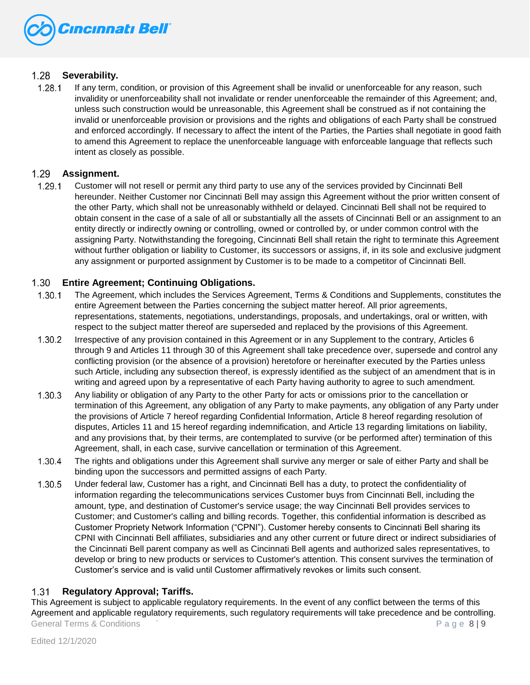

## $1.28$ **Severability.**

 $1.28.1$ If any term, condition, or provision of this Agreement shall be invalid or unenforceable for any reason, such invalidity or unenforceability shall not invalidate or render unenforceable the remainder of this Agreement; and, unless such construction would be unreasonable, this Agreement shall be construed as if not containing the invalid or unenforceable provision or provisions and the rights and obligations of each Party shall be construed and enforced accordingly. If necessary to affect the intent of the Parties, the Parties shall negotiate in good faith to amend this Agreement to replace the unenforceable language with enforceable language that reflects such intent as closely as possible.

## $1.29<sub>1</sub>$ **Assignment.**

 $1.29.1$ Customer will not resell or permit any third party to use any of the services provided by Cincinnati Bell hereunder. Neither Customer nor Cincinnati Bell may assign this Agreement without the prior written consent of the other Party, which shall not be unreasonably withheld or delayed. Cincinnati Bell shall not be required to obtain consent in the case of a sale of all or substantially all the assets of Cincinnati Bell or an assignment to an entity directly or indirectly owning or controlling, owned or controlled by, or under common control with the assigning Party. Notwithstanding the foregoing, Cincinnati Bell shall retain the right to terminate this Agreement without further obligation or liability to Customer, its successors or assigns, if, in its sole and exclusive judgment any assignment or purported assignment by Customer is to be made to a competitor of Cincinnati Bell.

## $1.30<sub>1</sub>$ **Entire Agreement; Continuing Obligations.**

- $1.30.1$ The Agreement, which includes the Services Agreement, Terms & Conditions and Supplements, constitutes the entire Agreement between the Parties concerning the subject matter hereof. All prior agreements, representations, statements, negotiations, understandings, proposals, and undertakings, oral or written, with respect to the subject matter thereof are superseded and replaced by the provisions of this Agreement.
- $1.30.2$ Irrespective of any provision contained in this Agreement or in any Supplement to the contrary, Articles 6 through 9 and Articles 11 through 30 of this Agreement shall take precedence over, supersede and control any conflicting provision (or the absence of a provision) heretofore or hereinafter executed by the Parties unless such Article, including any subsection thereof, is expressly identified as the subject of an amendment that is in writing and agreed upon by a representative of each Party having authority to agree to such amendment.
- $1.30.3$ Any liability or obligation of any Party to the other Party for acts or omissions prior to the cancellation or termination of this Agreement, any obligation of any Party to make payments, any obligation of any Party under the provisions of Article 7 hereof regarding Confidential Information, Article 8 hereof regarding resolution of disputes, Articles 11 and 15 hereof regarding indemnification, and Article 13 regarding limitations on liability, and any provisions that, by their terms, are contemplated to survive (or be performed after) termination of this Agreement, shall, in each case, survive cancellation or termination of this Agreement.
- 1.30.4 The rights and obligations under this Agreement shall survive any merger or sale of either Party and shall be binding upon the successors and permitted assigns of each Party.
- Under federal law, Customer has a right, and Cincinnati Bell has a duty, to protect the confidentiality of 1.30.5 information regarding the telecommunications services Customer buys from Cincinnati Bell, including the amount, type, and destination of Customer's service usage; the way Cincinnati Bell provides services to Customer; and Customer's calling and billing records. Together, this confidential information is described as Customer Propriety Network Information ("CPNI"). Customer hereby consents to Cincinnati Bell sharing its CPNI with Cincinnati Bell affiliates, subsidiaries and any other current or future direct or indirect subsidiaries of the Cincinnati Bell parent company as well as Cincinnati Bell agents and authorized sales representatives, to develop or bring to new products or services to Customer's attention. This consent survives the termination of Customer's service and is valid until Customer affirmatively revokes or limits such consent.

## $1.31$ **Regulatory Approval; Tariffs.**

General Terms & Conditions  $\sim$  P a g e  $\sim$  P a g e  $\sim$  P a g e  $\sim$  P a g e  $\sim$  P a g e  $\sim$  P a g e  $\sim$  P a g e  $\sim$  P a g e  $\sim$  P a g e  $\sim$  P a g e  $\sim$  P a g e  $\sim$  P a g e  $\sim$  P a g e  $\sim$  P a g e  $\sim$  P a g e This Agreement is subject to applicable regulatory requirements. In the event of any conflict between the terms of this Agreement and applicable regulatory requirements, such regulatory requirements will take precedence and be controlling.